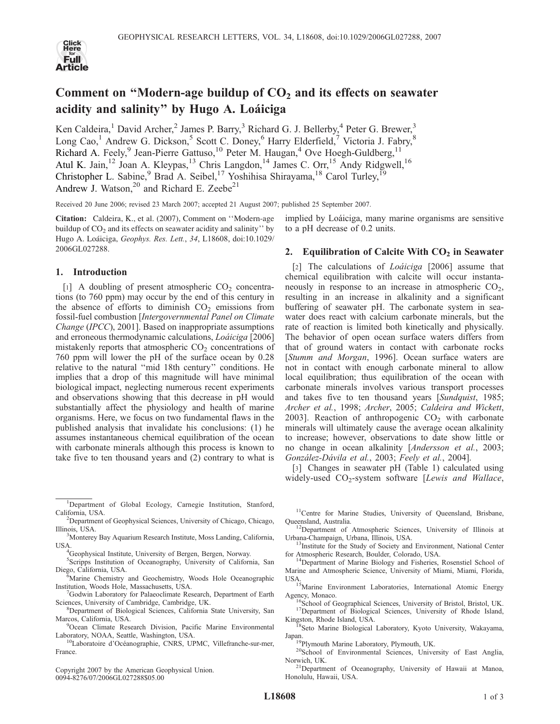

# Comment on "Modern-age buildup of  $CO<sub>2</sub>$  and its effects on seawater acidity and salinity" by Hugo A. Loáiciga

Ken Caldeira,<sup>1</sup> David Archer,<sup>2</sup> James P. Barry,<sup>3</sup> Richard G. J. Bellerby,<sup>4</sup> Peter G. Brewer,<sup>3</sup> Long Cao,<sup>1</sup> Andrew G. Dickson,<sup>5</sup> Scott C. Doney,<sup>6</sup> Harry Elderfield,<sup>7</sup> Victoria J. Fabry,<sup>8</sup> Richard A. Feely,<sup>9</sup> Jean-Pierre Gattuso,<sup>10</sup> Peter M. Haugan,<sup>4</sup> Ove Hoegh-Guldberg,<sup>11</sup> Atul K. Jain,<sup>12</sup> Joan A. Kleypas,<sup>13</sup> Chris Langdon,<sup>14</sup> James C. Orr,<sup>15</sup> Andy Ridgwell,<sup>16</sup> Christopher L. Sabine, <sup>9</sup> Brad A. Seibel, <sup>17</sup> Yoshihisa Shirayama, <sup>18</sup> Carol Turley, <sup>19</sup> Andrew J. Watson, $^{20}$  and Richard E. Zeebe<sup>21</sup>

Received 20 June 2006; revised 23 March 2007; accepted 21 August 2007; published 25 September 2007.

Citation: Caldeira, K., et al. (2007), Comment on ''Modern-age buildup of  $CO<sub>2</sub>$  and its effects on seawater acidity and salinity'' by Hugo A. Loáiciga, Geophys. Res. Lett., 34, L18608, doi:10.1029/ 2006GL027288.

## 1. Introduction

[1] A doubling of present atmospheric  $CO<sub>2</sub>$  concentrations (to 760 ppm) may occur by the end of this century in the absence of efforts to diminish  $CO<sub>2</sub>$  emissions from fossil-fuel combustion [Intergovernmental Panel on Climate Change (IPCC), 2001]. Based on inappropriate assumptions and erroneous thermodynamic calculations, *Loáiciga* [2006] mistakenly reports that atmospheric  $CO<sub>2</sub>$  concentrations of 760 ppm will lower the pH of the surface ocean by 0.28 relative to the natural ''mid 18th century'' conditions. He implies that a drop of this magnitude will have minimal biological impact, neglecting numerous recent experiments and observations showing that this decrease in pH would substantially affect the physiology and health of marine organisms. Here, we focus on two fundamental flaws in the published analysis that invalidate his conclusions: (1) he assumes instantaneous chemical equilibration of the ocean with carbonate minerals although this process is known to take five to ten thousand years and (2) contrary to what is

implied by Loáiciga, many marine organisms are sensitive to a pH decrease of 0.2 units.

## 2. Equilibration of Calcite With  $CO<sub>2</sub>$  in Seawater

[2] The calculations of  $Loáiciga$  [2006] assume that chemical equilibration with calcite will occur instantaneously in response to an increase in atmospheric  $CO<sub>2</sub>$ , resulting in an increase in alkalinity and a significant buffering of seawater pH. The carbonate system in seawater does react with calcium carbonate minerals, but the rate of reaction is limited both kinetically and physically. The behavior of open ocean surface waters differs from that of ground waters in contact with carbonate rocks [Stumm and Morgan, 1996]. Ocean surface waters are not in contact with enough carbonate mineral to allow local equilibration; thus equilibration of the ocean with carbonate minerals involves various transport processes and takes five to ten thousand years [Sundquist, 1985; Archer et al., 1998; Archer, 2005; Caldeira and Wickett, 2003]. Reaction of anthropogenic  $CO<sub>2</sub>$  with carbonate minerals will ultimately cause the average ocean alkalinity to increase; however, observations to date show little or no change in ocean alkalinity [Andersson et al., 2003; González-Dávila et al., 2003; Feely et al., 2004].

[3] Changes in seawater pH (Table 1) calculated using widely-used  $CO_2$ -system software [Lewis and Wallace,

- <sup>1</sup>Department of Global Ecology, Carnegie Institution, Stanford, California, USA. <sup>2</sup>
- <sup>2</sup>Department of Geophysical Sciences, University of Chicago, Chicago, Illinois, USA. <sup>3</sup>
- <sup>3</sup>Monterey Bay Aquarium Research Institute, Moss Landing, California, USA.
- Geophysical Institute, University of Bergen, Bergen, Norway.
- 5 Scripps Institution of Oceanography, University of California, San Diego, California, USA. <sup>6</sup>
- **Marine Chemistry and Geochemistry, Woods Hole Oceanographic** Institution, Woods Hole, Massachusetts, USA. <sup>7</sup>
- Godwin Laboratory for Palaeoclimate Research, Department of Earth Sciences, University of Cambridge, Cambridge, UK.
- Department of Biological Sciences, California State University, San Marcos, California, USA. <sup>9</sup>
- <sup>9</sup>Ocean Climate Research Division, Pacific Marine Environmental Laboratory, NOAA, Seattle, Washington, USA. 10Laboratoire d'Océanographie, CNRS, UPMC, Villefranche-sur-mer,
- France.

Copyright 2007 by the American Geophysical Union. 0094-8276/07/2006GL027288\$05.00

 $11$ Centre for Marine Studies, University of Queensland, Brisbane, Queensland, Australia.

<sup>12</sup>Department of Atmospheric Sciences, University of Illinois at Urbana-Champaign, Urbana, Illinois, USA.

<sup>13</sup>Institute for the Study of Society and Environment, National Center for Atmospheric Research, Boulder, Colorado, USA. 14Department of Marine Biology and Fisheries, Rosenstiel School of

Marine and Atmospheric Science, University of Miami, Miami, Florida,

USA. 15Marine Environment Laboratories, International Atomic Energy

 $^{16}$ School of Geographical Sciences, University of Bristol, Bristol, UK.  $^{17}$ Department of Biological Sciences, University of Rhode Island, Kingston, Rhode Island, USA.

<sup>8</sup>Seto Marine Biological Laboratory, Kyoto University, Wakayama,

Japan.<br><sup>19</sup>Plymouth Marine Laboratory, Plymouth, UK.<br><sup>20</sup>School of Environmental Sciences, University of East Anglia, Norwich, UK. 21Department of Oceanography, University of Hawaii at Manoa,

Honolulu, Hawaii, USA.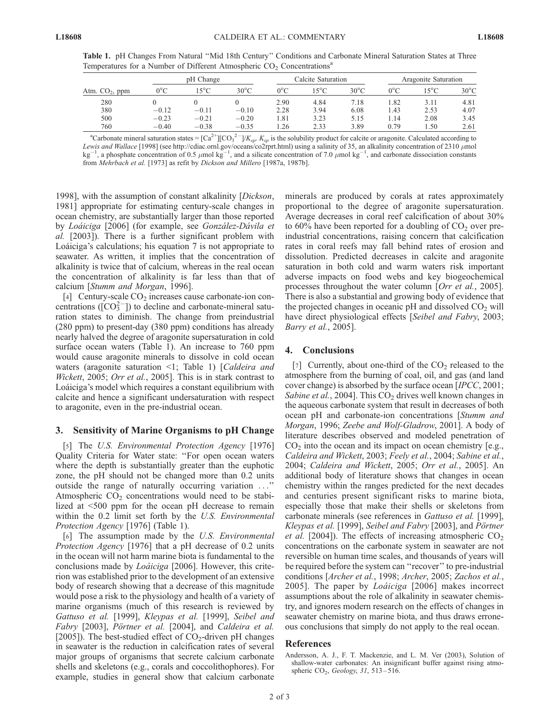Atm.  $CO<sub>2</sub>$ , ppm pH Change Calcite Saturation Aragonite Saturation  $0^{\circ}$ C 15<sup>o</sup>C 30<sup>o</sup>C 0<sup>o</sup>C 15<sup>o</sup>C 30<sup>o</sup>C 0<sup>o</sup>C 15<sup>o</sup>C 30<sup>o</sup>C 280 0 0 0 2.90 4.84 7.18 1.82 3.11 4.81 380 0.12 0.11 0.10 2.28 3.94 6.08 1.43 2.53 4.07 500 0.23 0.21 0.20 1.81 3.23 5.15 1.14 2.08 3.45 760 0.40 0.38 0.35 1.26 2.33 3.89 0.79 1.50 2.61

Table 1. pH Changes From Natural ''Mid 18th Century'' Conditions and Carbonate Mineral Saturation States at Three Temperatures for a Number of Different Atmospheric  $CO<sub>2</sub>$  Concentrations<sup>a</sup>

<sup>a</sup>Carbonate mineral saturation states =  $\left[\text{Ca}^{2+}\right]\left[\text{CO}_3^{-2-}\right]/K_{sp}$ .  $K_{sp}$  is the solubility product for calcite or aragonite. Calculated according to Lewis and Wallace [1998] (see http://cdiac.ornl.gov/oceans/co2rprt.html) using a salinity of 35, an alkalinity concentration of 2310  $\mu$ mol  $kg^{-1}$ , a phosphate concentration of 0.5  $\mu$ mol kg<sup>-1</sup>, and a silicate concentration of 7.0  $\mu$ mol kg<sup>-1</sup>, and carbonate dissociation constants from Mehrbach et al. [1973] as refit by Dickson and Millero [1987a, 1987b].

1998], with the assumption of constant alkalinity [Dickson, 1981] appropriate for estimating century-scale changes in ocean chemistry, are substantially larger than those reported by Loáiciga [2006] (for example, see González-Dávila et al. [2003]). There is a further significant problem with Loáiciga's calculations; his equation 7 is not appropriate to seawater. As written, it implies that the concentration of alkalinity is twice that of calcium, whereas in the real ocean the concentration of alkalinity is far less than that of calcium [Stumm and Morgan, 1996].

[4] Century-scale  $CO<sub>2</sub>$  increases cause carbonate-ion concentrations ( $[CO<sub>3</sub><sup>2</sup>-$ )) to decline and carbonate-mineral saturation states to diminish. The change from preindustrial (280 ppm) to present-day (380 ppm) conditions has already nearly halved the degree of aragonite supersaturation in cold surface ocean waters (Table 1). An increase to 760 ppm would cause aragonite minerals to dissolve in cold ocean waters (aragonite saturation <1; Table 1) [Caldeira and Wickett, 2005; Orr et al., 2005]. This is in stark contrast to Loáiciga's model which requires a constant equilibrium with calcite and hence a significant undersaturation with respect to aragonite, even in the pre-industrial ocean.

### 3. Sensitivity of Marine Organisms to pH Change

[5] The U.S. Environmental Protection Agency [1976] Quality Criteria for Water state: ''For open ocean waters where the depth is substantially greater than the euphotic zone, the pH should not be changed more than 0.2 units outside the range of naturally occurring variation ...'' Atmospheric  $CO<sub>2</sub>$  concentrations would need to be stabilized at <500 ppm for the ocean pH decrease to remain within the 0.2 limit set forth by the U.S. *Environmental* Protection Agency [1976] (Table 1).

[6] The assumption made by the U.S. Environmental Protection Agency [1976] that a pH decrease of 0.2 units in the ocean will not harm marine biota is fundamental to the conclusions made by *Loáiciga* [2006]. However, this criterion was established prior to the development of an extensive body of research showing that a decrease of this magnitude would pose a risk to the physiology and health of a variety of marine organisms (much of this research is reviewed by Gattuso et al. [1999], Kleypas et al. [1999], Seibel and Fabry [2003], Pörtner et al. [2004], and Caldeira et al. [2005]). The best-studied effect of  $CO<sub>2</sub>$ -driven pH changes in seawater is the reduction in calcification rates of several major groups of organisms that secrete calcium carbonate shells and skeletons (e.g., corals and coccolithophores). For example, studies in general show that calcium carbonate

minerals are produced by corals at rates approximately proportional to the degree of aragonite supersaturation. Average decreases in coral reef calcification of about 30% to 60% have been reported for a doubling of  $CO<sub>2</sub>$  over preindustrial concentrations, raising concern that calcification rates in coral reefs may fall behind rates of erosion and dissolution. Predicted decreases in calcite and aragonite saturation in both cold and warm waters risk important adverse impacts on food webs and key biogeochemical processes throughout the water column [Orr et al., 2005]. There is also a substantial and growing body of evidence that the projected changes in oceanic  $pH$  and dissolved  $CO<sub>2</sub>$  will have direct physiological effects [Seibel and Fabry, 2003; Barry et al., 2005].

#### 4. Conclusions

[7] Currently, about one-third of the  $CO<sub>2</sub>$  released to the atmosphere from the burning of coal, oil, and gas (and land cover change) is absorbed by the surface ocean [IPCC, 2001; Sabine et al., 2004]. This  $CO<sub>2</sub>$  drives well known changes in the aqueous carbonate system that result in decreases of both ocean pH and carbonate-ion concentrations [Stumm and Morgan, 1996; Zeebe and Wolf-Gladrow, 2001]. A body of literature describes observed and modeled penetration of  $CO<sub>2</sub>$  into the ocean and its impact on ocean chemistry [e.g., Caldeira and Wickett, 2003; Feely et al., 2004; Sabine et al., 2004; Caldeira and Wickett, 2005; Orr et al., 2005]. An additional body of literature shows that changes in ocean chemistry within the ranges predicted for the next decades and centuries present significant risks to marine biota, especially those that make their shells or skeletons from carbonate minerals (see references in Gattuso et al. [1999], Kleypas et al. [1999], Seibel and Fabry [2003], and Pörtner *et al.* [2004]). The effects of increasing atmospheric  $CO<sub>2</sub>$ concentrations on the carbonate system in seawater are not reversible on human time scales, and thousands of years will be required before the system can ''recover'' to pre-industrial conditions [Archer et al., 1998; Archer, 2005; Zachos et al., 2005]. The paper by *Lodiciga* [2006] makes incorrect assumptions about the role of alkalinity in seawater chemistry, and ignores modern research on the effects of changes in seawater chemistry on marine biota, and thus draws erroneous conclusions that simply do not apply to the real ocean.

### References

Andersson, A. J., F. T. Mackenzie, and L. M. Ver (2003), Solution of shallow-water carbonates: An insignificant buffer against rising atmospheric  $CO<sub>2</sub>$ , Geology, 31, 513-516.